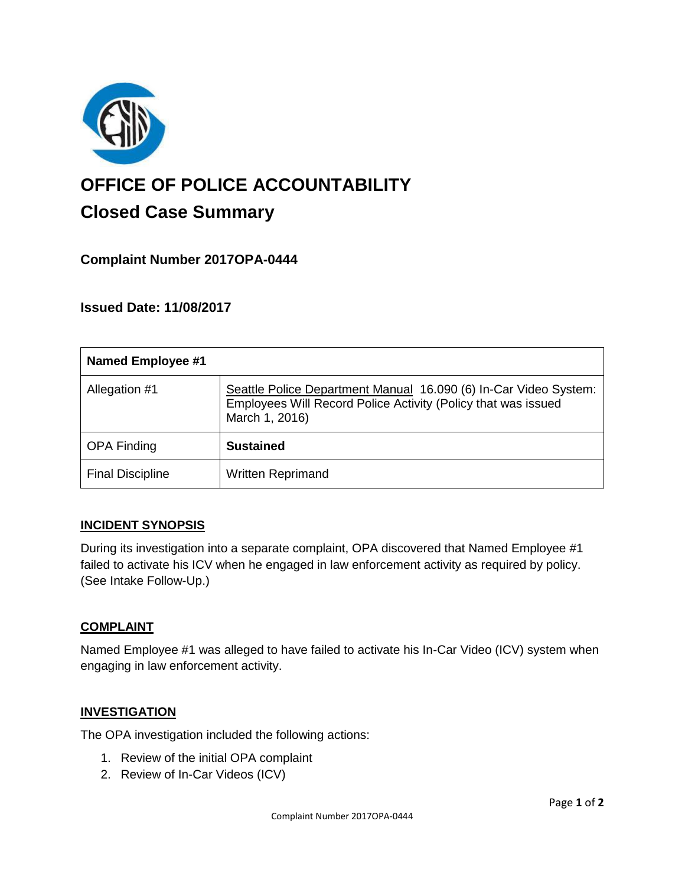

# **OFFICE OF POLICE ACCOUNTABILITY**

# **Closed Case Summary**

# **Complaint Number 2017OPA-0444**

# **Issued Date: 11/08/2017**

| <b>Named Employee #1</b> |                                                                                                                                                     |
|--------------------------|-----------------------------------------------------------------------------------------------------------------------------------------------------|
| Allegation #1            | Seattle Police Department Manual 16.090 (6) In-Car Video System:<br>Employees Will Record Police Activity (Policy that was issued<br>March 1, 2016) |
| <b>OPA Finding</b>       | <b>Sustained</b>                                                                                                                                    |
| <b>Final Discipline</b>  | <b>Written Reprimand</b>                                                                                                                            |

# **INCIDENT SYNOPSIS**

During its investigation into a separate complaint, OPA discovered that Named Employee #1 failed to activate his ICV when he engaged in law enforcement activity as required by policy. (See Intake Follow-Up.)

#### **COMPLAINT**

Named Employee #1 was alleged to have failed to activate his In-Car Video (ICV) system when engaging in law enforcement activity.

#### **INVESTIGATION**

The OPA investigation included the following actions:

- 1. Review of the initial OPA complaint
- 2. Review of In-Car Videos (ICV)